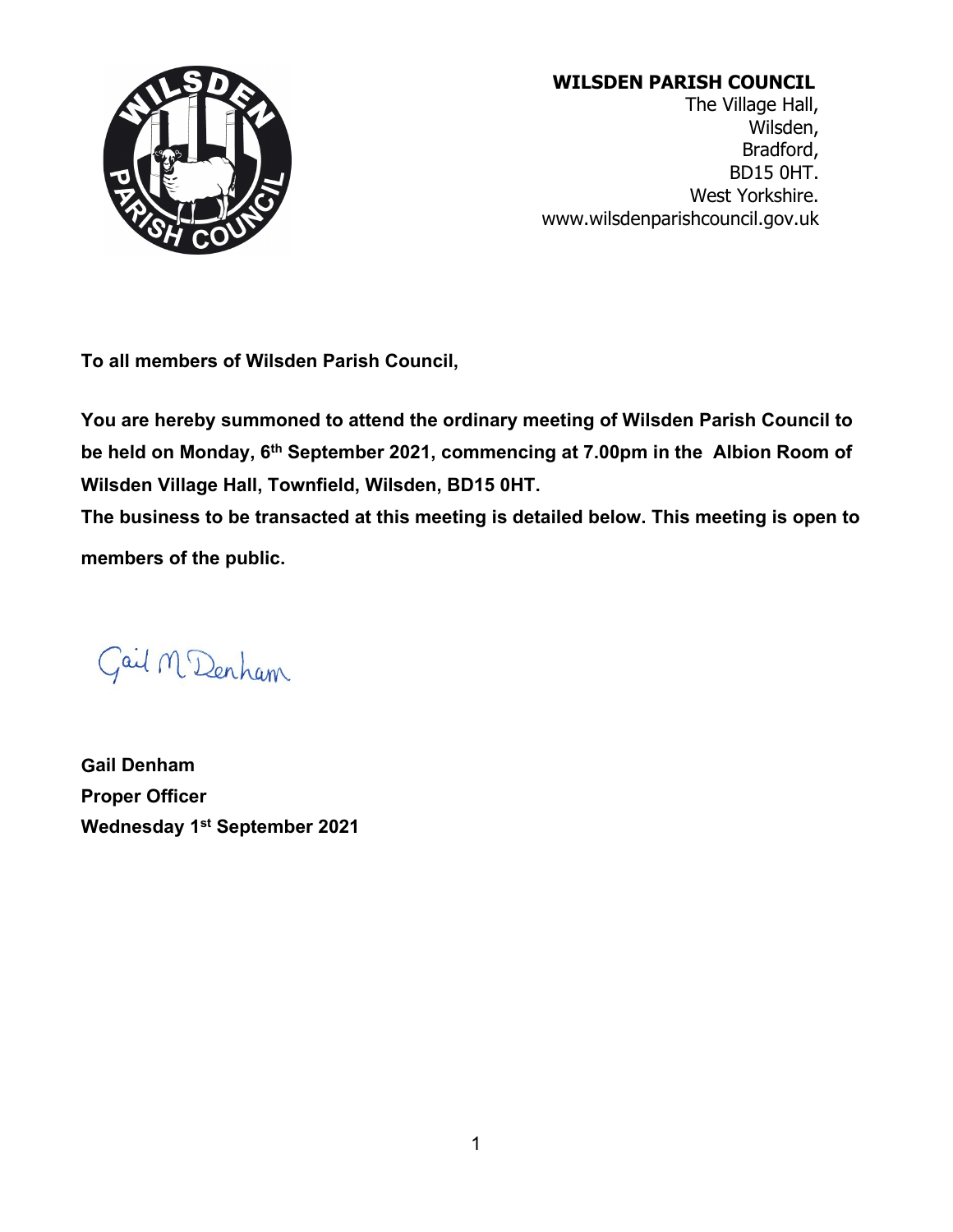

# **WILSDEN PARISH COUNCIL**

The Village Hall, Wilsden, Bradford, BD15 0HT. West Yorkshire. [www.wilsdenparishcouncil.gov.uk](http://www.wilsdenparishcouncil.gov.uk/)

**To all members of Wilsden Parish Council,**

**You are hereby summoned to attend the ordinary meeting of Wilsden Parish Council to be held on Monday, 6th September 2021, commencing at 7.00pm in the Albion Room of Wilsden Village Hall, Townfield, Wilsden, BD15 0HT.**

**The business to be transacted at this meeting is detailed below. This meeting is open to members of the public.**

Gail M Denham

**Gail Denham Proper Officer Wednesday 1st September 2021**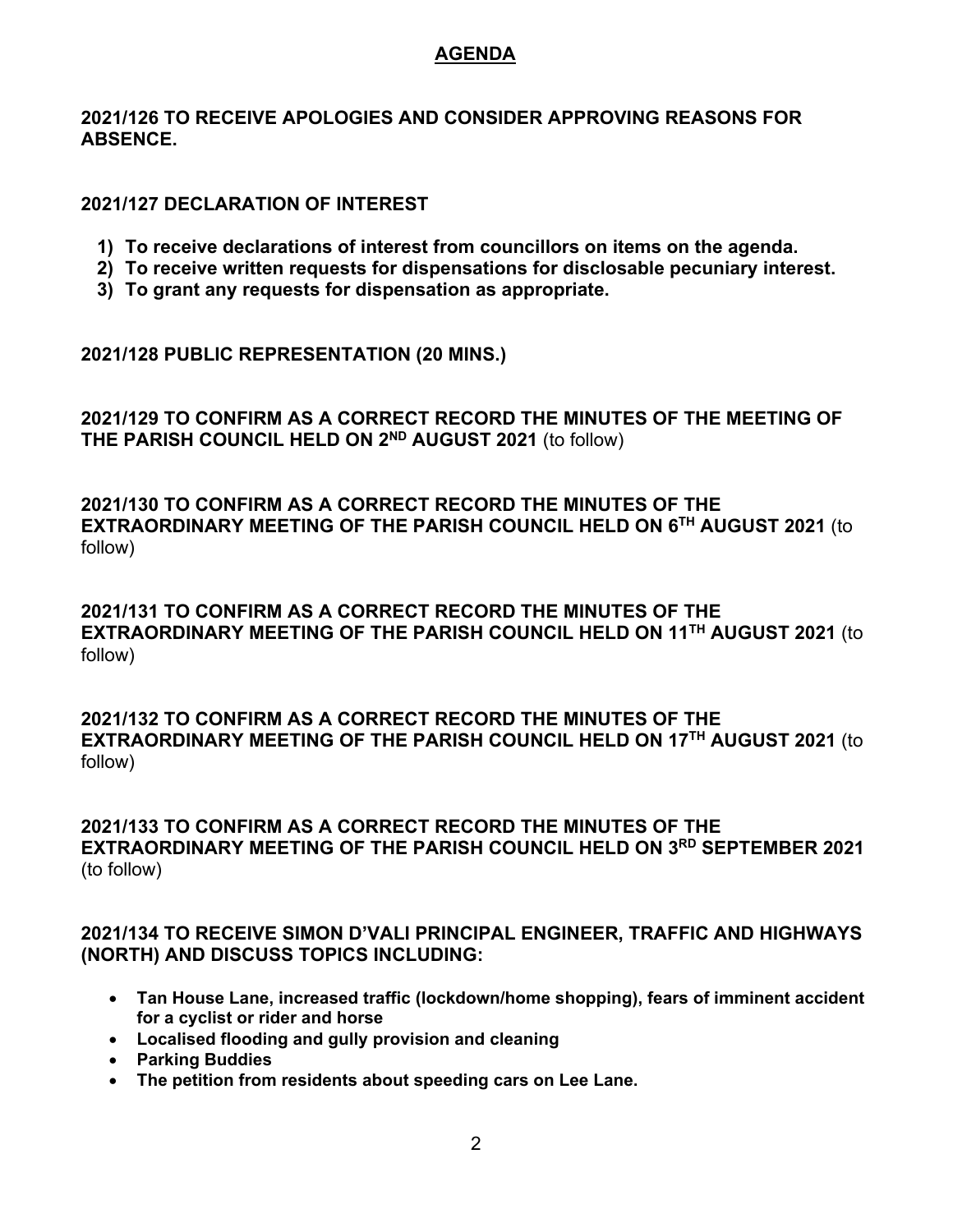## **AGENDA**

**2021/126 TO RECEIVE APOLOGIES AND CONSIDER APPROVING REASONS FOR ABSENCE.**

## **2021/127 DECLARATION OF INTEREST**

- **1) To receive declarations of interest from councillors on items on the agenda.**
- **2) To receive written requests for dispensations for disclosable pecuniary interest.**
- **3) To grant any requests for dispensation as appropriate.**

**2021/128 PUBLIC REPRESENTATION (20 MINS.)**

**2021/129 TO CONFIRM AS A CORRECT RECORD THE MINUTES OF THE MEETING OF THE PARISH COUNCIL HELD ON 2ND AUGUST 2021** (to follow)

**2021/130 TO CONFIRM AS A CORRECT RECORD THE MINUTES OF THE EXTRAORDINARY MEETING OF THE PARISH COUNCIL HELD ON 6TH AUGUST 2021** (to follow)

**2021/131 TO CONFIRM AS A CORRECT RECORD THE MINUTES OF THE EXTRAORDINARY MEETING OF THE PARISH COUNCIL HELD ON 11TH AUGUST 2021** (to follow)

**2021/132 TO CONFIRM AS A CORRECT RECORD THE MINUTES OF THE EXTRAORDINARY MEETING OF THE PARISH COUNCIL HELD ON 17TH AUGUST 2021** (to follow)

**2021/133 TO CONFIRM AS A CORRECT RECORD THE MINUTES OF THE EXTRAORDINARY MEETING OF THE PARISH COUNCIL HELD ON 3RD SEPTEMBER 2021**  (to follow)

**2021/134 TO RECEIVE SIMON D'VALI PRINCIPAL ENGINEER, TRAFFIC AND HIGHWAYS (NORTH) AND DISCUSS TOPICS INCLUDING:**

- **Tan House Lane, increased traffic (lockdown/home shopping), fears of imminent accident for a cyclist or rider and horse**
- **Localised flooding and gully provision and cleaning**
- **Parking Buddies**
- **The petition from residents about speeding cars on Lee Lane.**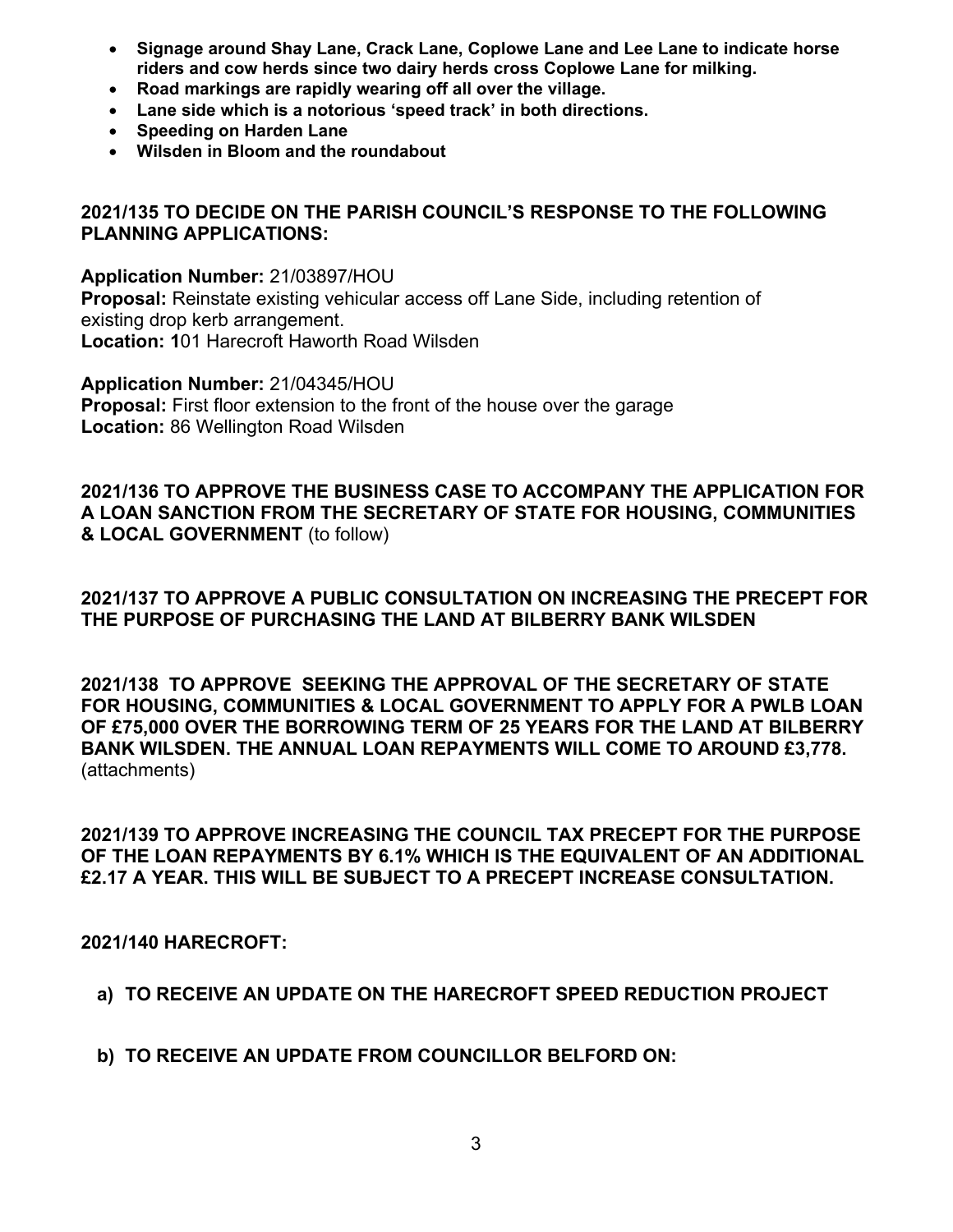- **Signage around Shay Lane, Crack Lane, Coplowe Lane and Lee Lane to indicate horse riders and cow herds since two dairy herds cross Coplowe Lane for milking.**
- **Road markings are rapidly wearing off all over the village.**
- **Lane side which is a notorious 'speed track' in both directions.**
- **Speeding on Harden Lane**
- **Wilsden in Bloom and the roundabout**

## **2021/135 TO DECIDE ON THE PARISH COUNCIL'S RESPONSE TO THE FOLLOWING PLANNING APPLICATIONS:**

**Application Number:** 21/03897/HOU **Proposal:** Reinstate existing vehicular access off Lane Side, including retention of existing drop kerb arrangement. **Location: 1**01 Harecroft Haworth Road Wilsden

**Application Number:** 21/04345/HOU **Proposal:** First floor extension to the front of the house over the garage **Location:** 86 Wellington Road Wilsden

**2021/136 TO APPROVE THE BUSINESS CASE TO ACCOMPANY THE APPLICATION FOR A LOAN SANCTION FROM THE SECRETARY OF STATE FOR HOUSING, COMMUNITIES & LOCAL GOVERNMENT** (to follow)

**2021/137 TO APPROVE A PUBLIC CONSULTATION ON INCREASING THE PRECEPT FOR THE PURPOSE OF PURCHASING THE LAND AT BILBERRY BANK WILSDEN**

**2021/138 TO APPROVE SEEKING THE APPROVAL OF THE SECRETARY OF STATE FOR HOUSING, COMMUNITIES & LOCAL GOVERNMENT TO APPLY FOR A PWLB LOAN OF £75,000 OVER THE BORROWING TERM OF 25 YEARS FOR THE LAND AT BILBERRY BANK WILSDEN. THE ANNUAL LOAN REPAYMENTS WILL COME TO AROUND £3,778.**  (attachments)

**2021/139 TO APPROVE INCREASING THE COUNCIL TAX PRECEPT FOR THE PURPOSE OF THE LOAN REPAYMENTS BY 6.1% WHICH IS THE EQUIVALENT OF AN ADDITIONAL £2.17 A YEAR. THIS WILL BE SUBJECT TO A PRECEPT INCREASE CONSULTATION.**

**2021/140 HARECROFT:**

**a) TO RECEIVE AN UPDATE ON THE HARECROFT SPEED REDUCTION PROJECT**

**b) TO RECEIVE AN UPDATE FROM COUNCILLOR BELFORD ON:**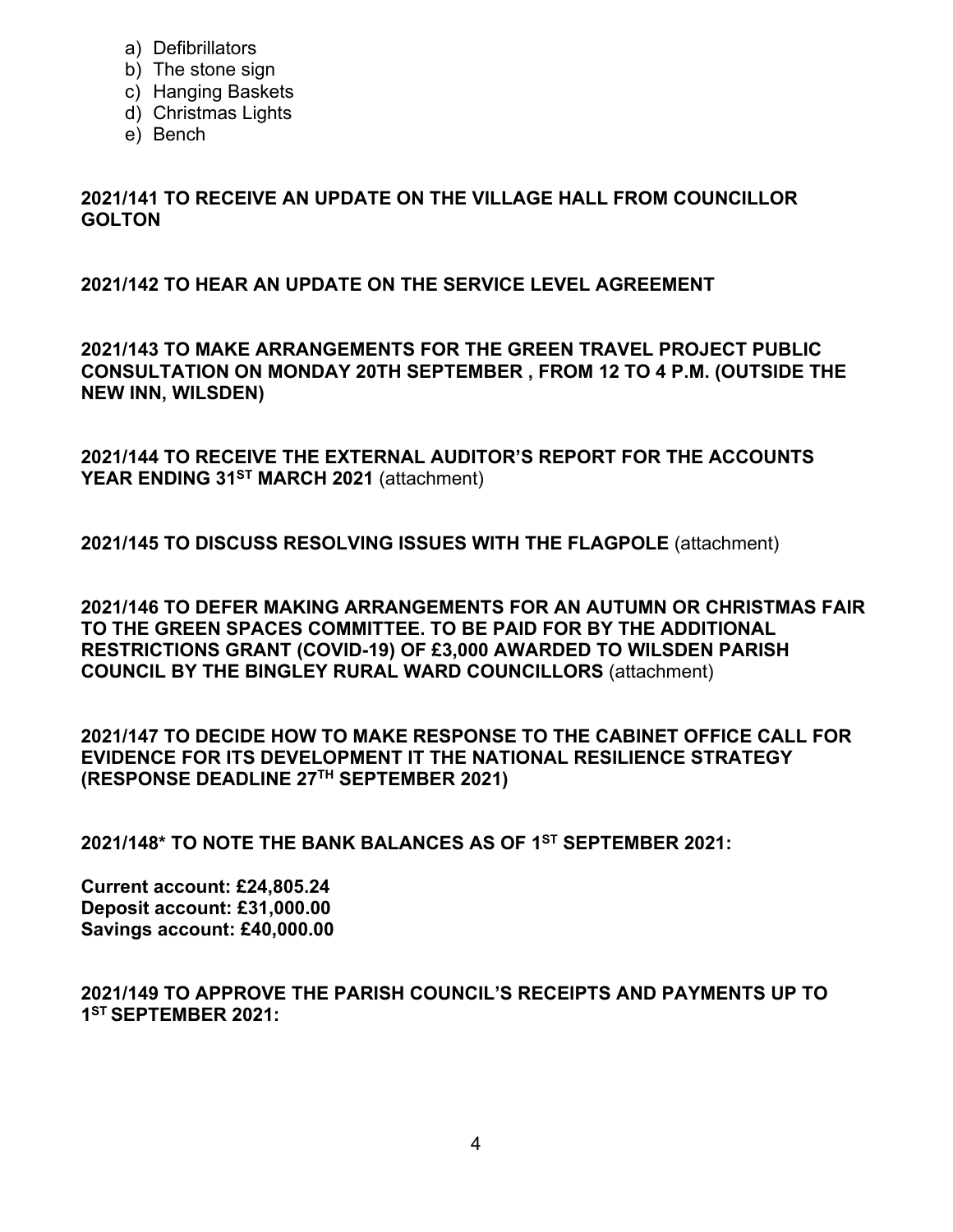- a) Defibrillators
- b) The stone sign
- c) Hanging Baskets
- d) Christmas Lights
- e) Bench

**2021/141 TO RECEIVE AN UPDATE ON THE VILLAGE HALL FROM COUNCILLOR GOLTON**

**2021/142 TO HEAR AN UPDATE ON THE SERVICE LEVEL AGREEMENT**

**2021/143 TO MAKE ARRANGEMENTS FOR THE GREEN TRAVEL PROJECT PUBLIC CONSULTATION ON MONDAY 20TH SEPTEMBER , FROM 12 TO 4 P.M. (OUTSIDE THE NEW INN, WILSDEN)**

**2021/144 TO RECEIVE THE EXTERNAL AUDITOR'S REPORT FOR THE ACCOUNTS**  YEAR ENDING 31<sup>ST</sup> MARCH 2021 (attachment)

**2021/145 TO DISCUSS RESOLVING ISSUES WITH THE FLAGPOLE** (attachment)

**2021/146 TO DEFER MAKING ARRANGEMENTS FOR AN AUTUMN OR CHRISTMAS FAIR TO THE GREEN SPACES COMMITTEE. TO BE PAID FOR BY THE ADDITIONAL RESTRICTIONS GRANT (COVID-19) OF £3,000 AWARDED TO WILSDEN PARISH COUNCIL BY THE BINGLEY RURAL WARD COUNCILLORS** (attachment)

**2021/147 TO DECIDE HOW TO MAKE RESPONSE TO THE CABINET OFFICE CALL FOR EVIDENCE FOR ITS DEVELOPMENT IT THE NATIONAL RESILIENCE STRATEGY (RESPONSE DEADLINE 27TH SEPTEMBER 2021)**

**2021/148\* TO NOTE THE BANK BALANCES AS OF 1 ST SEPTEMBER 2021:** 

**Current account: £24,805.24 Deposit account: £31,000.00 Savings account: £40,000.00**

**2021/149 TO APPROVE THE PARISH COUNCIL'S RECEIPTS AND PAYMENTS UP TO 1ST SEPTEMBER 2021:**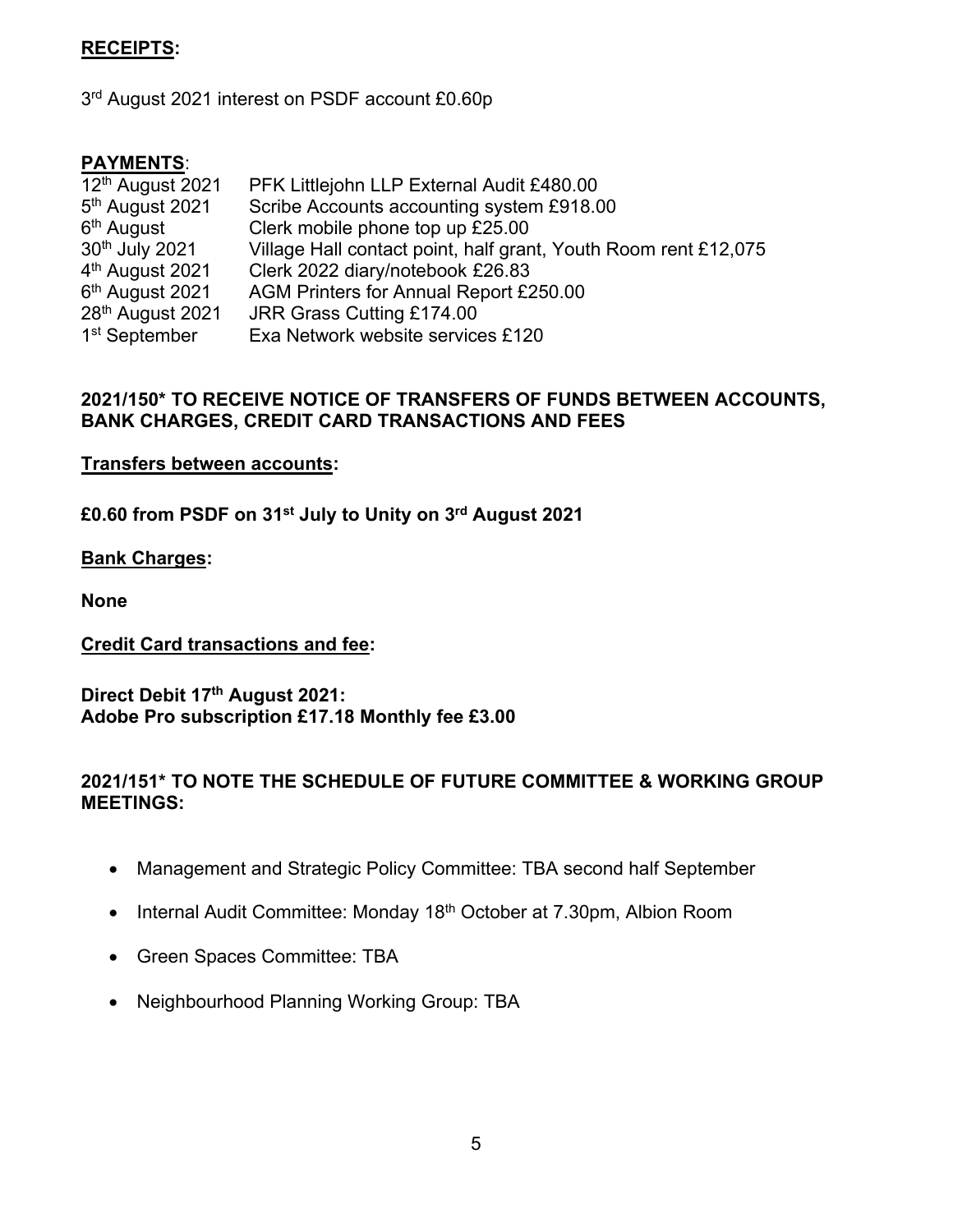## **RECEIPTS:**

3<sup>rd</sup> August 2021 interest on PSDF account £0.60p

#### **PAYMENTS**:

| 12th August 2021             | PFK Littlejohn LLP External Audit £480.00                       |
|------------------------------|-----------------------------------------------------------------|
| 5 <sup>th</sup> August 2021  | Scribe Accounts accounting system £918.00                       |
| 6 <sup>th</sup> August       | Clerk mobile phone top up £25.00                                |
| 30th July 2021               | Village Hall contact point, half grant, Youth Room rent £12,075 |
| 4 <sup>th</sup> August 2021  | Clerk 2022 diary/notebook £26.83                                |
| 6 <sup>th</sup> August 2021  | AGM Printers for Annual Report £250.00                          |
| 28 <sup>th</sup> August 2021 | JRR Grass Cutting £174.00                                       |
| 1 <sup>st</sup> September    | Exa Network website services £120                               |

## **2021/150\* TO RECEIVE NOTICE OF TRANSFERS OF FUNDS BETWEEN ACCOUNTS, BANK CHARGES, CREDIT CARD TRANSACTIONS AND FEES**

#### **Transfers between accounts:**

**£0.60 from PSDF on 31st July to Unity on 3rd August 2021** 

#### **Bank Charges:**

**None**

### **Credit Card transactions and fee:**

**Direct Debit 17th August 2021: Adobe Pro subscription £17.18 Monthly fee £3.00**

## **2021/151\* TO NOTE THE SCHEDULE OF FUTURE COMMITTEE & WORKING GROUP MEETINGS:**

- Management and Strategic Policy Committee: TBA second half September
- Internal Audit Committee: Monday 18<sup>th</sup> October at 7.30pm, Albion Room
- Green Spaces Committee: TBA
- Neighbourhood Planning Working Group: TBA